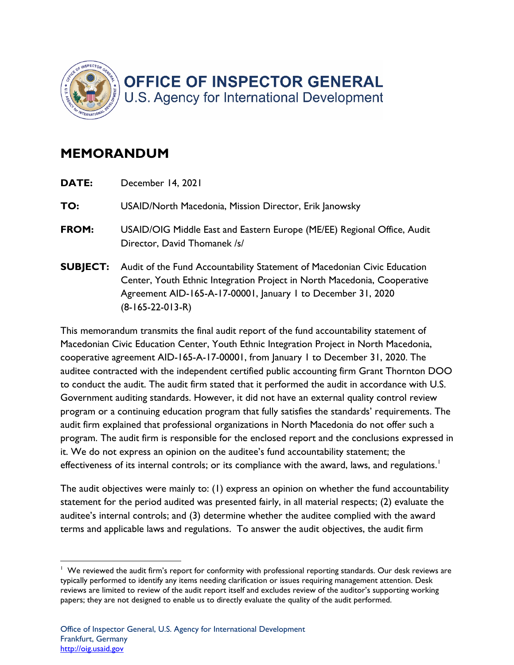

## **MEMORANDUM**

| DATE:           | December 14, 2021                                                                                                                                                                                                                          |
|-----------------|--------------------------------------------------------------------------------------------------------------------------------------------------------------------------------------------------------------------------------------------|
| TO:             | USAID/North Macedonia, Mission Director, Erik Janowsky                                                                                                                                                                                     |
| FROM:           | USAID/OIG Middle East and Eastern Europe (ME/EE) Regional Office, Audit<br>Director, David Thomanek /s/                                                                                                                                    |
| <b>SUBJECT:</b> | Audit of the Fund Accountability Statement of Macedonian Civic Education<br>Center, Youth Ethnic Integration Project in North Macedonia, Cooperative<br>Agreement AID-165-A-17-00001, January 1 to December 31, 2020<br>$(8-165-22-013-R)$ |

 This memorandum transmits the final audit report of the fund accountability statement of program or a continuing education program that fully satisfies the standards' requirements. The Macedonian Civic Education Center, Youth Ethnic Integration Project in North Macedonia, cooperative agreement AID-165-A-17-00001, from January 1 to December 31, 2020. The auditee contracted with the independent certified public accounting firm Grant Thornton DOO to conduct the audit. The audit firm stated that it performed the audit in accordance with U.S. Government auditing standards. However, it did not have an external quality control review audit firm explained that professional organizations in North Macedonia do not offer such a program. The audit firm is responsible for the enclosed report and the conclusions expressed in it. We do not express an opinion on the auditee's fund accountability statement; the effectiveness of its internal controls; or its compliance with the award, laws, and regulations.<sup>1</sup>

 The audit objectives were mainly to: (1) express an opinion on whether the fund accountability terms and applicable laws and regulations. To answer the audit objectives, the audit firm statement for the period audited was presented fairly, in all material respects; (2) evaluate the auditee's internal controls; and (3) determine whether the auditee complied with the award

 $1$  We reviewed the audit firm's report for conformity with professional reporting standards. Our desk reviews are papers; they are not designed to enable us to directly evaluate the quality of the audit performed.<br>Office of Inspector General, U.S. Agency for International Development typically performed to identify any items needing clarification or issues requiring management attention. Desk reviews are limited to review of the audit report itself and excludes review of the auditor's supporting working